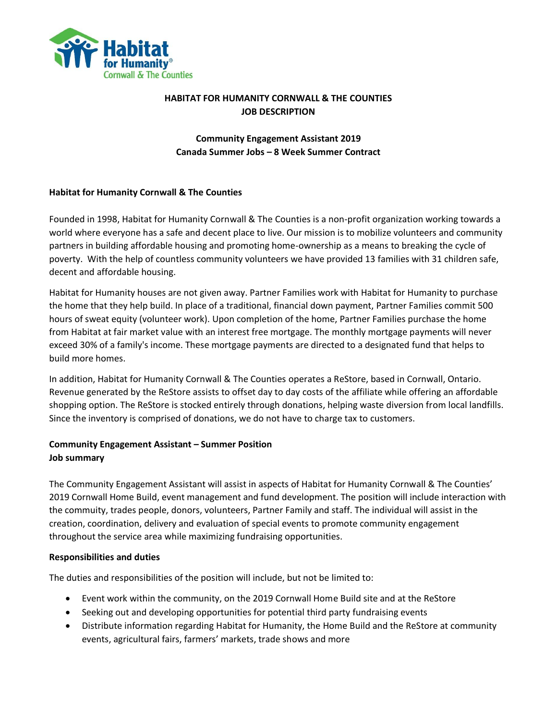

## **HABITAT FOR HUMANITY CORNWALL & THE COUNTIES JOB DESCRIPTION**

# **Community Engagement Assistant 2019 Canada Summer Jobs – 8 Week Summer Contract**

## **Habitat for Humanity Cornwall & The Counties**

Founded in 1998, Habitat for Humanity Cornwall & The Counties is a non-profit organization working towards a world where everyone has a safe and decent place to live. Our mission is to mobilize volunteers and community partners in building affordable housing and promoting home-ownership as a means to breaking the cycle of poverty. With the help of countless community volunteers we have provided 13 families with 31 children safe, decent and affordable housing.

Habitat for Humanity houses are not given away. Partner Families work with Habitat for Humanity to purchase the home that they help build. In place of a traditional, financial down payment, Partner Families commit 500 hours of sweat equity (volunteer work). Upon completion of the home, Partner Families purchase the home from Habitat at fair market value with an interest free mortgage. The monthly mortgage payments will never exceed 30% of a family's income. These mortgage payments are directed to a designated fund that helps to build more homes.

In addition, Habitat for Humanity Cornwall & The Counties operates a ReStore, based in Cornwall, Ontario. Revenue generated by the ReStore assists to offset day to day costs of the affiliate while offering an affordable shopping option. The ReStore is stocked entirely through donations, helping waste diversion from local landfills. Since the inventory is comprised of donations, we do not have to charge tax to customers.

# **Community Engagement Assistant – Summer Position Job summary**

The Community Engagement Assistant will assist in aspects of Habitat for Humanity Cornwall & The Counties' 2019 Cornwall Home Build, event management and fund development. The position will include interaction with the commuity, trades people, donors, volunteers, Partner Family and staff. The individual will assist in the creation, coordination, delivery and evaluation of special events to promote community engagement throughout the service area while maximizing fundraising opportunities.

## **Responsibilities and duties**

The duties and responsibilities of the position will include, but not be limited to:

- Event work within the community, on the 2019 Cornwall Home Build site and at the ReStore
- Seeking out and developing opportunities for potential third party fundraising events
- Distribute information regarding Habitat for Humanity, the Home Build and the ReStore at community events, agricultural fairs, farmers' markets, trade shows and more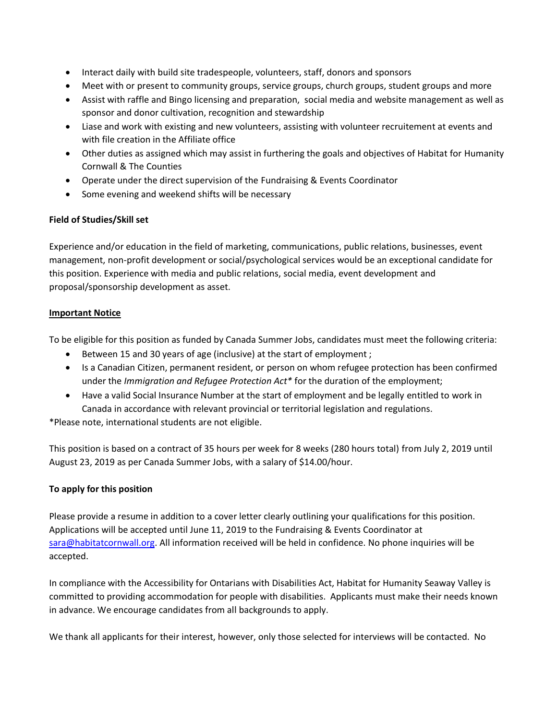- Interact daily with build site tradespeople, volunteers, staff, donors and sponsors
- Meet with or present to community groups, service groups, church groups, student groups and more
- Assist with raffle and Bingo licensing and preparation, social media and website management as well as sponsor and donor cultivation, recognition and stewardship
- Liase and work with existing and new volunteers, assisting with volunteer recruitement at events and with file creation in the Affiliate office
- Other duties as assigned which may assist in furthering the goals and objectives of Habitat for Humanity Cornwall & The Counties
- Operate under the direct supervision of the Fundraising & Events Coordinator
- Some evening and weekend shifts will be necessary

### **Field of Studies/Skill set**

Experience and/or education in the field of marketing, communications, public relations, businesses, event management, non-profit development or social/psychological services would be an exceptional candidate for this position. Experience with media and public relations, social media, event development and proposal/sponsorship development as asset.

#### **Important Notice**

To be eligible for this position as funded by Canada Summer Jobs, candidates must meet the following criteria:

- Between 15 and 30 years of age (inclusive) at the start of employment ;
- Is a Canadian Citizen, permanent resident, or person on whom refugee protection has been confirmed under the *Immigration and Refugee Protection Act\** for the duration of the employment;
- Have a valid Social Insurance Number at the start of employment and be legally entitled to work in Canada in accordance with relevant provincial or territorial legislation and regulations.

\*Please note, international students are not eligible.

This position is based on a contract of 35 hours per week for 8 weeks (280 hours total) from July 2, 2019 until August 23, 2019 as per Canada Summer Jobs, with a salary of \$14.00/hour.

#### **To apply for this position**

Please provide a resume in addition to a cover letter clearly outlining your qualifications for this position. Applications will be accepted until June 11, 2019 to the Fundraising & Events Coordinator at sara@habitatcornwall.org. All information received will be held in confidence. No phone inquiries will be accepted.

In compliance with the Accessibility for Ontarians with Disabilities Act, Habitat for Humanity Seaway Valley is committed to providing accommodation for people with disabilities. Applicants must make their needs known in advance. We encourage candidates from all backgrounds to apply.

We thank all applicants for their interest, however, only those selected for interviews will be contacted. No